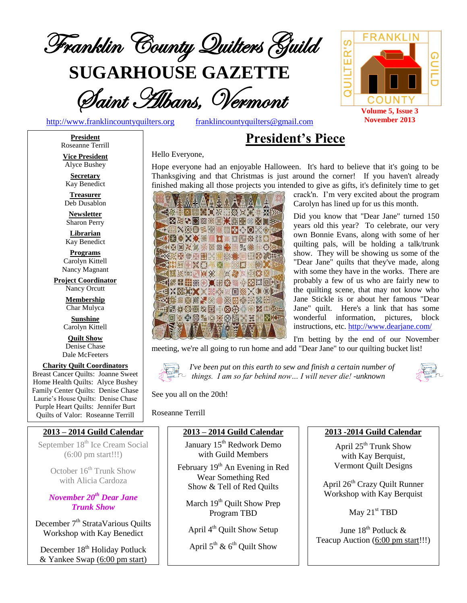

**SUGARHOUSE GAZETTE**

Saint Albans, Vermont

[http://www.franklincountyquilters.org](http://www.franklincountyquilters.org/) [franklincountyquilters@gmail.com](mailto:franklincountyquilters@gmail.com)

# **President's Piece**

**President** Roseanne Terrill

**Vice President** Alyce Bushey

**Secretary** Kay Benedict

**Treasurer** Deb Dusablon

**Newsletter** Sharon Perry

**Librarian** Kay Benedict

**Programs** Carolyn Kittell Nancy Magnant

**Project Coordinator** Nancy Orcutt

> **Membership** Char Mulyca

**Sunshine** Carolyn Kittell

**Quilt Show** Denise Chase Dale McFeeters

**Charity Quilt Coordinators** Breast Cancer Quilts: Joanne Sweet Home Health Quilts: Alyce Bushey Family Center Quilts: Denise Chase

Laurie's House Quilts: Denise Chase Purple Heart Quilts: Jennifer Burt Quilts of Valor: Roseanne Terrill

## **2013 – 2014 Guild Calendar**

September 18<sup>th</sup> Ice Cream Social (6:00 pm start!!!)

> October 16<sup>th</sup> Trunk Show with Alicia Cardoza

*November 20th Dear Jane Trunk Show*

December 7<sup>th</sup> StrataVarious Quilts Workshop with Kay Benedict

December 18<sup>th</sup> Holiday Potluck & Yankee Swap (6:00 pm start)

#### Hello Everyone,

Hope everyone had an enjoyable Halloween. It's hard to believe that it's going to be Thanksgiving and that Christmas is just around the corner! If you haven't already finished making all those projects you intended to give as gifts, it's definitely time to get



crack'n. I'm very excited about the program Carolyn has lined up for us this month.

Did you know that "Dear Jane" turned 150 years old this year? To celebrate, our very own Bonnie Evans, along with some of her quilting pals, will be holding a talk/trunk show. They will be showing us some of the "Dear Jane" quilts that they've made, along with some they have in the works. There are probably a few of us who are fairly new to the quilting scene, that may not know who Jane Stickle is or about her famous "Dear Jane" quilt. Here's a link that has some wonderful information, pictures, block instructions, etc[. http://www.dearjane.com/](http://www.dearjane.com/)

I'm betting by the end of our November meeting, we're all going to run home and add "Dear Jane" to our quilting bucket list!



*I've been put on this earth to sew and finish a certain number of things. I am so far behind now… I will never die! -unknown*



See you all on the 20th!

Roseanne Terrill

## **2013 – 2014 Guild Calendar**

January 15<sup>th</sup> Redwork Demo with Guild Members

February 19<sup>th</sup> An Evening in Red Wear Something Red Show & Tell of Red Quilts

March 19<sup>th</sup> Quilt Show Prep Program TBD

April 4<sup>th</sup> Quilt Show Setup

April  $5^{\text{th}}$  &  $6^{\text{th}}$  Quilt Show

#### **2013 -2014 Guild Calendar**

April  $25<sup>th</sup>$  Trunk Show with Kay Berquist, Vermont Quilt Designs

April 26th Crazy Quilt Runner Workshop with Kay Berquist

May  $21<sup>st</sup>$  TBD

June 18<sup>th</sup> Potluck & Teacup Auction (6:00 pm start!!!)

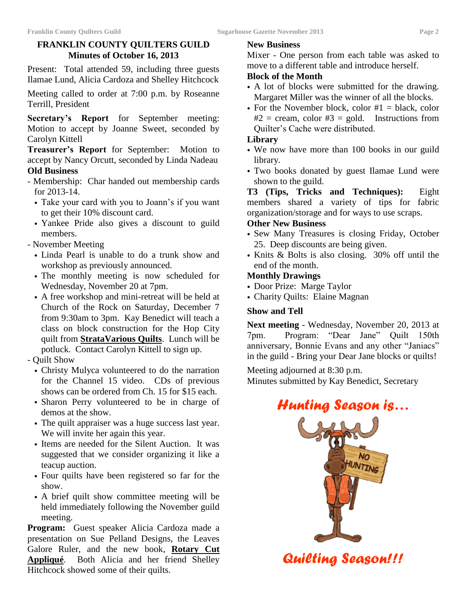## **FRANKLIN COUNTY QUILTERS GUILD Minutes of October 16, 2013**

Present: Total attended 59, including three guests Ilamae Lund, Alicia Cardoza and Shelley Hitchcock

Meeting called to order at 7:00 p.m. by Roseanne Terrill, President

**Secretary's Report** for September meeting: Motion to accept by Joanne Sweet, seconded by Carolyn Kittell

**Treasurer's Report** for September: Motion to accept by Nancy Orcutt, seconded by Linda Nadeau **Old Business**

- Membership: Char handed out membership cards for 2013-14.
	- Take your card with you to Joann's if you want to get their 10% discount card.
	- Yankee Pride also gives a discount to guild members.
- November Meeting
	- Linda Pearl is unable to do a trunk show and workshop as previously announced.
	- The monthly meeting is now scheduled for Wednesday, November 20 at 7pm.
	- A free workshop and mini-retreat will be held at Church of the Rock on Saturday, December 7 from 9:30am to 3pm. Kay Benedict will teach a class on block construction for the Hop City quilt from **StrataVarious Quilts**. Lunch will be potluck. Contact Carolyn Kittell to sign up.
- Quilt Show
	- Christy Mulyca volunteered to do the narration for the Channel 15 video. CDs of previous shows can be ordered from Ch. 15 for \$15 each.
	- Sharon Perry volunteered to be in charge of demos at the show.
	- The quilt appraiser was a huge success last year. We will invite her again this year.
	- Items are needed for the Silent Auction. It was suggested that we consider organizing it like a teacup auction.
	- Four quilts have been registered so far for the show.
	- A brief quilt show committee meeting will be held immediately following the November guild meeting.

**Program:** Guest speaker Alicia Cardoza made a presentation on Sue Pelland Designs, the Leaves Galore Ruler, and the new book, **Rotary Cut Appliqué**. Both Alicia and her friend Shelley Hitchcock showed some of their quilts.

## **New Business**

Mixer - One person from each table was asked to move to a different table and introduce herself.

## **Block of the Month**

- A lot of blocks were submitted for the drawing. Margaret Miller was the winner of all the blocks.
- For the November block, color  $#1 =$  black, color  $#2 = \text{cream}, \text{ color } #3 = \text{gold}.$  Instructions from Quilter's Cache were distributed.

## **Library**

- We now have more than 100 books in our guild library.
- Two books donated by guest Ilamae Lund were shown to the guild.

**T3 (Tips, Tricks and Techniques):** Eight members shared a variety of tips for fabric organization/storage and for ways to use scraps.

## **Other New Business**

- Sew Many Treasures is closing Friday, October 25. Deep discounts are being given.
- Knits & Bolts is also closing. 30% off until the end of the month.

## **Monthly Drawings**

- Door Prize: Marge Taylor
- Charity Quilts: Elaine Magnan

## **Show and Tell**

**Next meeting** - Wednesday, November 20, 2013 at 7pm. Program: "Dear Jane" Quilt 150th anniversary, Bonnie Evans and any other "Janiacs" in the guild - Bring your Dear Jane blocks or quilts!

Meeting adjourned at 8:30 p.m.

Minutes submitted by Kay Benedict, Secretary

# *Hunting Season is…*



*Quilting Season!!!*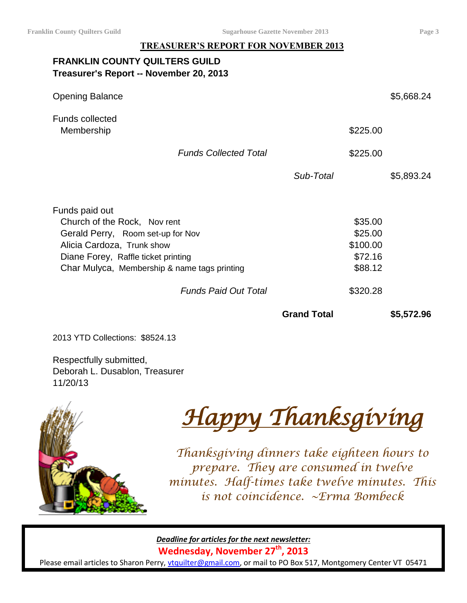## **TREASURER'S REPORT FOR NOVEMBER 2013**

## **FRANKLIN COUNTY QUILTERS GUILD Treasurer's Report -- November 20, 2013**

| <b>Opening Balance</b>                                                                                                                                                                                   |                              |                    |                                                                  | \$5,668.24 |
|----------------------------------------------------------------------------------------------------------------------------------------------------------------------------------------------------------|------------------------------|--------------------|------------------------------------------------------------------|------------|
| <b>Funds collected</b><br>Membership                                                                                                                                                                     |                              |                    | \$225.00                                                         |            |
|                                                                                                                                                                                                          | <b>Funds Collected Total</b> |                    | \$225.00                                                         |            |
|                                                                                                                                                                                                          |                              | Sub-Total          |                                                                  | \$5,893.24 |
| Funds paid out<br>Church of the Rock, Nov rent<br>Gerald Perry, Room set-up for Nov<br>Alicia Cardoza, Trunk show<br>Diane Forey, Raffle ticket printing<br>Char Mulyca, Membership & name tags printing | <b>Funds Paid Out Total</b>  |                    | \$35.00<br>\$25.00<br>\$100.00<br>\$72.16<br>\$88.12<br>\$320.28 |            |
|                                                                                                                                                                                                          |                              | <b>Grand Total</b> |                                                                  | \$5,572.96 |
| 2013 YTD Collections: \$8524.13                                                                                                                                                                          |                              |                    |                                                                  |            |

Respectfully submitted, Deborah L. Dusablon, Treasurer 11/20/13



*Happy Thanksgiving* 

*Thanksgiving dinners take eighteen hours to prepare. They are consumed in twelve minutes. Half-times take twelve minutes. This is not coincidence. ~Erma Bombeck*

*Deadline for articles for the next newsletter:*

**Wednesday, November 27th, 2013**

Please email articles to Sharon Perry, [vtquilter@gmail.com,](mailto:vtquilter@gmail.com) or mail to PO Box 517, Montgomery Center VT 05471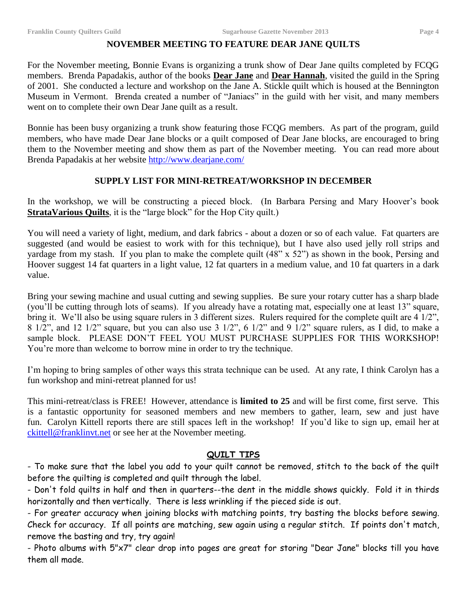### **NOVEMBER MEETING TO FEATURE DEAR JANE QUILTS**

For the November meeting, Bonnie Evans is organizing a trunk show of Dear Jane quilts completed by FCQG members. Brenda Papadakis, author of the books **Dear Jane** and **Dear Hannah**, visited the guild in the Spring of 2001. She conducted a lecture and workshop on the Jane A. Stickle quilt which is housed at the Bennington Museum in Vermont. Brenda created a number of "Janiacs" in the guild with her visit, and many members went on to complete their own Dear Jane quilt as a result.

Bonnie has been busy organizing a trunk show featuring those FCQG members. As part of the program, guild members, who have made Dear Jane blocks or a quilt composed of Dear Jane blocks, are encouraged to bring them to the November meeting and show them as part of the November meeting. You can read more about Brenda Papadakis at her website<http://www.dearjane.com/>

### **SUPPLY LIST FOR MINI-RETREAT/WORKSHOP IN DECEMBER**

In the workshop, we will be constructing a pieced block. (In Barbara Persing and Mary Hoover's book **StrataVarious Quilts**, it is the "large block" for the Hop City quilt.)

You will need a variety of light, medium, and dark fabrics - about a dozen or so of each value. Fat quarters are suggested (and would be easiest to work with for this technique), but I have also used jelly roll strips and yardage from my stash. If you plan to make the complete quilt (48" x 52") as shown in the book, Persing and Hoover suggest 14 fat quarters in a light value, 12 fat quarters in a medium value, and 10 fat quarters in a dark value.

Bring your sewing machine and usual cutting and sewing supplies. Be sure your rotary cutter has a sharp blade (you'll be cutting through lots of seams). If you already have a rotating mat, especially one at least 13" square, bring it. We'll also be using square rulers in 3 different sizes. Rulers required for the complete quilt are 4 1/2", 8 1/2", and 12 1/2" square, but you can also use 3 1/2", 6 1/2" and 9 1/2" square rulers, as I did, to make a sample block. PLEASE DON'T FEEL YOU MUST PURCHASE SUPPLIES FOR THIS WORKSHOP! You're more than welcome to borrow mine in order to try the technique.

I'm hoping to bring samples of other ways this strata technique can be used. At any rate, I think Carolyn has a fun workshop and mini-retreat planned for us!

This mini-retreat/class is FREE! However, attendance is **limited to 25** and will be first come, first serve. This is a fantastic opportunity for seasoned members and new members to gather, learn, sew and just have fun. Carolyn Kittell reports there are still spaces left in the workshop! If you'd like to sign up, email her at [ckittell@franklinvt.net](mailto:ckittell@franklinvt.net) or see her at the November meeting.

## **QUILT TIPS**

- To make sure that the label you add to your quilt cannot be removed, stitch to the back of the quilt before the quilting is completed and quilt through the label.

- Don't fold quilts in half and then in quarters--the dent in the middle shows quickly. Fold it in thirds horizontally and then vertically. There is less wrinkling if the pieced side is out.

- For greater accuracy when joining blocks with matching points, try basting the blocks before sewing. Check for accuracy. If all points are matching, sew again using a regular stitch. If points don't match, remove the basting and try, try again!

- Photo albums with 5"x7" clear drop into pages are great for storing "Dear Jane" blocks till you have them all made.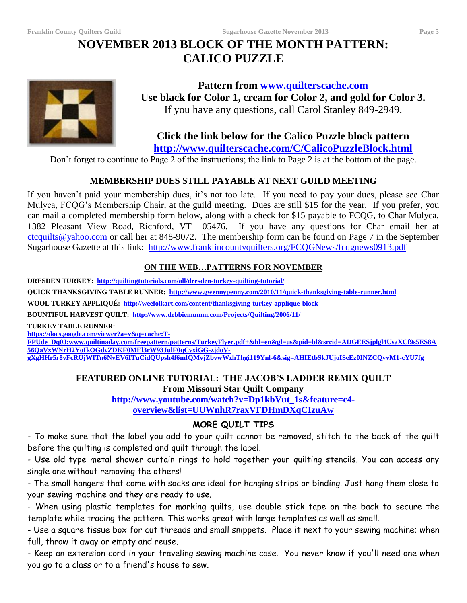## **NOVEMBER 2013 BLOCK OF THE MONTH PATTERN: CALICO PUZZLE**



## **Pattern from www.quilterscache.com Use black for Color 1, cream for Color 2, and gold for Color 3.** If you have any questions, call Carol Stanley 849-2949.

# **Click the link below for the Calico Puzzle block pattern**

**<http://www.quilterscache.com/C/CalicoPuzzleBlock.html>**

Don't forget to continue to Page 2 of the instructions; the link to Page 2 is at the bottom of the page.

## **MEMBERSHIP DUES STILL PAYABLE AT NEXT GUILD MEETING**

If you haven't paid your membership dues, it's not too late. If you need to pay your dues, please see Char Mulyca, FCQG's Membership Chair, at the guild meeting. Dues are still \$15 for the year. If you prefer, you can mail a completed membership form below, along with a check for \$15 payable to FCQG, to Char Mulyca, 1382 Pleasant View Road, Richford, VT 05476. If you have any questions for Char email her at [ctcquilts@yahoo.com](mailto:ctcquilts@yahoo.com) or call her at 848-9072. The membership form can be found on Page 7 in the September Sugarhouse Gazette at this link: <http://www.franklincountyquilters.org/FCQGNews/fcqgnews0913.pdf>

## **ON THE WEB…PATTERNS FOR NOVEMBER**

**DRESDEN TURKEY:<http://quiltingtutorials.com/all/dresden-turkey-quilting-tutorial/>**

**QUICK THANKSGIVING TABLE RUNNER: <http://www.gwennypenny.com/2010/11/quick-thanksgiving-table-runner.html>**

**WOOL TURKEY APPLIQUÉ: <http://weefolkart.com/content/thanksgiving-turkey-applique-block>**

**BOUNTIFUL HARVEST QUILT: <http://www.debbiemumm.com/Projects/Quilting/2006/11/>**

**TURKEY TABLE RUNNER:**

**[https://docs.google.com/viewer?a=v&q=cache:T-](https://docs.google.com/viewer?a=v&q=cache:T-FPUde_Dq0J:www.quiltinaday.com/freepattern/patterns/TurkeyFlyer.pdf+&hl=en&gl=us&pid=bl&srcid=ADGEESjplgl4UsaXCf9s5ES8A56QaVxWNrH2YoIkOGdvZDKF0MEl3rW93JulF0qCvxiGG-zjdoV-gXgHHr5r8vFcRUjWITn6NvEV6ITuCidQUpsh4f6mfQMvjZbvwWzhThgi119Ynl-6&sig=AHIEtbSkJUjoISeEz0INZCQyvM1-cYU7fg)**

**[FPUde\\_Dq0J:www.quiltinaday.com/freepattern/patterns/TurkeyFlyer.pdf+&hl=en&gl=us&pid=bl&srcid=ADGEESjplgl4UsaXCf9s5ES8A](https://docs.google.com/viewer?a=v&q=cache:T-FPUde_Dq0J:www.quiltinaday.com/freepattern/patterns/TurkeyFlyer.pdf+&hl=en&gl=us&pid=bl&srcid=ADGEESjplgl4UsaXCf9s5ES8A56QaVxWNrH2YoIkOGdvZDKF0MEl3rW93JulF0qCvxiGG-zjdoV-gXgHHr5r8vFcRUjWITn6NvEV6ITuCidQUpsh4f6mfQMvjZbvwWzhThgi119Ynl-6&sig=AHIEtbSkJUjoISeEz0INZCQyvM1-cYU7fg) [56QaVxWNrH2YoIkOGdvZDKF0MEl3rW93JulF0qCvxiGG-zjdoV-](https://docs.google.com/viewer?a=v&q=cache:T-FPUde_Dq0J:www.quiltinaday.com/freepattern/patterns/TurkeyFlyer.pdf+&hl=en&gl=us&pid=bl&srcid=ADGEESjplgl4UsaXCf9s5ES8A56QaVxWNrH2YoIkOGdvZDKF0MEl3rW93JulF0qCvxiGG-zjdoV-gXgHHr5r8vFcRUjWITn6NvEV6ITuCidQUpsh4f6mfQMvjZbvwWzhThgi119Ynl-6&sig=AHIEtbSkJUjoISeEz0INZCQyvM1-cYU7fg)**

**[gXgHHr5r8vFcRUjWITn6NvEV6ITuCidQUpsh4f6mfQMvjZbvwWzhThgi119Ynl-6&sig=AHIEtbSkJUjoISeEz0INZCQyvM1-cYU7fg](https://docs.google.com/viewer?a=v&q=cache:T-FPUde_Dq0J:www.quiltinaday.com/freepattern/patterns/TurkeyFlyer.pdf+&hl=en&gl=us&pid=bl&srcid=ADGEESjplgl4UsaXCf9s5ES8A56QaVxWNrH2YoIkOGdvZDKF0MEl3rW93JulF0qCvxiGG-zjdoV-gXgHHr5r8vFcRUjWITn6NvEV6ITuCidQUpsh4f6mfQMvjZbvwWzhThgi119Ynl-6&sig=AHIEtbSkJUjoISeEz0INZCQyvM1-cYU7fg)**

## **FEATURED ONLINE TUTORIAL: THE JACOB'S LADDER REMIX QUILT From Missouri Star Quilt Company**

**[http://www.youtube.com/watch?v=Dp1kbVut\\_1s&feature=c4](http://www.youtube.com/watch?v=Dp1kbVut_1s&feature=c4-overview&list=UUWnhR7raxVFDHmDXqCIzuAw) [overview&list=UUWnhR7raxVFDHmDXqCIzuAw](http://www.youtube.com/watch?v=Dp1kbVut_1s&feature=c4-overview&list=UUWnhR7raxVFDHmDXqCIzuAw)**

## **MORE QUILT TIPS**

- To make sure that the label you add to your quilt cannot be removed, stitch to the back of the quilt before the quilting is completed and quilt through the label.

- Use old type metal shower curtain rings to hold together your quilting stencils. You can access any single one without removing the others!

- The small hangers that come with socks are ideal for hanging strips or binding. Just hang them close to your sewing machine and they are ready to use.

- When using plastic templates for marking quilts, use double stick tape on the back to secure the template while tracing the pattern. This works great with large templates as well as small.

- Use a square tissue box for cut threads and small snippets. Place it next to your sewing machine; when full, throw it away or empty and reuse.

- Keep an extension cord in your traveling sewing machine case. You never know if you'll need one when you go to a class or to a friend's house to sew.